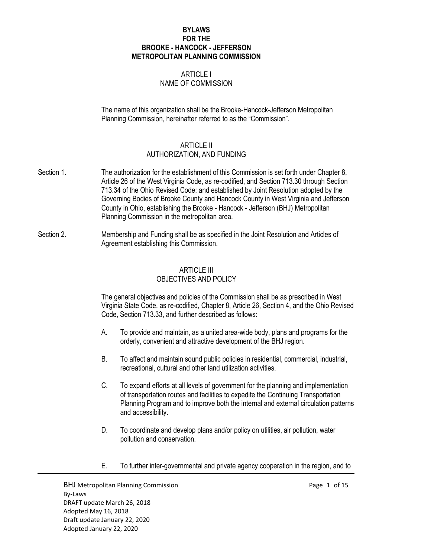## **BYLAWS FOR THE BROOKE - HANCOCK - JEFFERSON METROPOLITAN PLANNING COMMISSION**

# ARTICLE I NAME OF COMMISSION

The name of this organization shall be the Brooke-Hancock-Jefferson Metropolitan Planning Commission, hereinafter referred to as the "Commission".

# ARTICLE II

# AUTHORIZATION, AND FUNDING

- Section 1. The authorization for the establishment of this Commission is set forth under Chapter 8, Article 26 of the West Virginia Code, as re-codified, and Section 713.30 through Section 713.34 of the Ohio Revised Code; and established by Joint Resolution adopted by the Governing Bodies of Brooke County and Hancock County in West Virginia and Jefferson County in Ohio, establishing the Brooke - Hancock - Jefferson (BHJ) Metropolitan Planning Commission in the metropolitan area.
- Section 2. Membership and Funding shall be as specified in the Joint Resolution and Articles of Agreement establishing this Commission.

## ARTICLE III OBJECTIVES AND POLICY

The general objectives and policies of the Commission shall be as prescribed in West Virginia State Code, as re-codified, Chapter 8, Article 26, Section 4, and the Ohio Revised Code, Section 713.33, and further described as follows:

- A. To provide and maintain, as a united area-wide body, plans and programs for the orderly, convenient and attractive development of the BHJ region.
- B. To affect and maintain sound public policies in residential, commercial, industrial, recreational, cultural and other land utilization activities.
- C. To expand efforts at all levels of government for the planning and implementation of transportation routes and facilities to expedite the Continuing Transportation Planning Program and to improve both the internal and external circulation patterns and accessibility.
- D. To coordinate and develop plans and/or policy on utilities, air pollution, water pollution and conservation.
- E. To further inter-governmental and private agency cooperation in the region, and to

BHJ Metropolitan Planning Commission example and the example of 15 and 15 and 15 and 16 and 16 and 16 and 16 and 16 and 16 and 16 and 16 and 16 and 16 and 16 and 16 and 16 and 16 and 16 and 16 and 16 and 16 and 16 and 16 a By-Laws DRAFT update March 26, 2018 Adopted May 16, 2018 Draft update January 22, 2020 Adopted January 22, 2020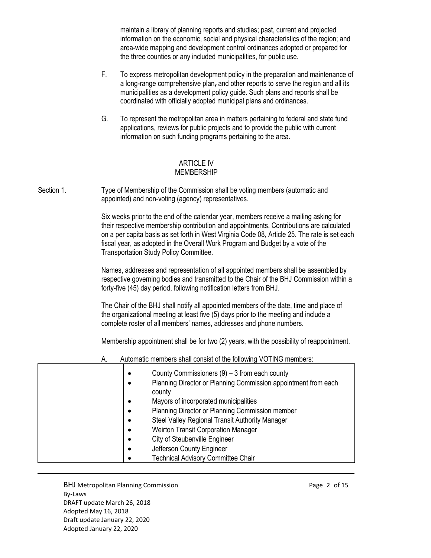maintain a library of planning reports and studies; past, current and projected information on the economic, social and physical characteristics of the region; and area-wide mapping and development control ordinances adopted or prepared for the three counties or any included municipalities, for public use.

- F. To express metropolitan development policy in the preparation and maintenance of a long-range comprehensive plan, and other reports to serve the region and all its municipalities as a development policy guide. Such plans and reports shall be coordinated with officially adopted municipal plans and ordinances.
- G. To represent the metropolitan area in matters pertaining to federal and state fund applications, reviews for public projects and to provide the public with current information on such funding programs pertaining to the area.

### ARTICLE IV MEMBERSHIP

Section 1. Type of Membership of the Commission shall be voting members (automatic and appointed) and non-voting (agency) representatives.

> Six weeks prior to the end of the calendar year, members receive a mailing asking for their respective membership contribution and appointments. Contributions are calculated on a per capita basis as set forth in West Virginia Code 08, Article 25. The rate is set each fiscal year, as adopted in the Overall Work Program and Budget by a vote of the Transportation Study Policy Committee.

> Names, addresses and representation of all appointed members shall be assembled by respective governing bodies and transmitted to the Chair of the BHJ Commission within a forty-five (45) day period, following notification letters from BHJ.

The Chair of the BHJ shall notify all appointed members of the date, time and place of the organizational meeting at least five (5) days prior to the meeting and include a complete roster of all members' names, addresses and phone numbers.

Membership appointment shall be for two (2) years, with the possibility of reappointment.

| А. | Automatic members shall consist of the following VOTING members:                                                                                                                                                                                                                                                                                                 |
|----|------------------------------------------------------------------------------------------------------------------------------------------------------------------------------------------------------------------------------------------------------------------------------------------------------------------------------------------------------------------|
| ٠  | County Commissioners $(9) - 3$ from each county<br>Planning Director or Planning Commission appointment from each<br>county<br>Mayors of incorporated municipalities<br>Planning Director or Planning Commission member<br>Steel Valley Regional Transit Authority Manager<br><b>Weirton Transit Corporation Manager</b><br><b>City of Steubenville Engineer</b> |
|    | Jefferson County Engineer                                                                                                                                                                                                                                                                                                                                        |
|    | <b>Technical Advisory Committee Chair</b>                                                                                                                                                                                                                                                                                                                        |

BHJ Metropolitan Planning Commission **Page 2 of 15** and Page 2 of 15 By-Laws DRAFT update March 26, 2018 Adopted May 16, 2018 Draft update January 22, 2020 Adopted January 22, 2020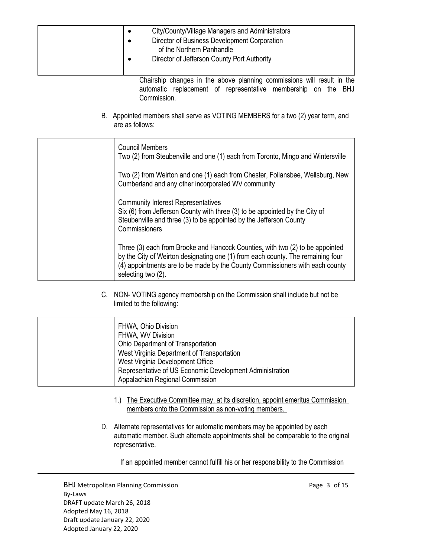| City/County/Village Managers and Administrators<br>Director of Business Development Corporation<br>of the Northern Panhandle<br>Director of Jefferson County Port Authority                                                                                            |
|------------------------------------------------------------------------------------------------------------------------------------------------------------------------------------------------------------------------------------------------------------------------|
| Chairship changes in the above planning commissions will result in the<br>automatic replacement of representative membership on the BHJ<br>Commission.                                                                                                                 |
| B. Appointed members shall serve as VOTING MEMBERS for a two (2) year term, and<br>are as follows:                                                                                                                                                                     |
| <b>Council Members</b><br>Two (2) from Steubenville and one (1) each from Toronto, Mingo and Wintersville                                                                                                                                                              |
| Two (2) from Weirton and one (1) each from Chester, Follansbee, Wellsburg, New<br>Cumberland and any other incorporated WV community                                                                                                                                   |
| <b>Community Interest Representatives</b><br>Six (6) from Jefferson County with three (3) to be appointed by the City of<br>Steubenville and three (3) to be appointed by the Jefferson County<br>Commissioners                                                        |
| Three (3) each from Brooke and Hancock Counties, with two (2) to be appointed<br>by the City of Weirton designating one (1) from each county. The remaining four<br>(4) appointments are to be made by the County Commissioners with each county<br>selecting two (2). |

C. NON- VOTING agency membership on the Commission shall include but not be limited to the following:

| FHWA, Ohio Division<br>FHWA, WV Division<br>Ohio Department of Transportation<br>West Virginia Department of Transportation<br>West Virginia Development Office<br>Representative of US Economic Development Administration |
|-----------------------------------------------------------------------------------------------------------------------------------------------------------------------------------------------------------------------------|
| Appalachian Regional Commission                                                                                                                                                                                             |

- 1.) The Executive Committee may, at its discretion, appoint emeritus Commission members onto the Commission as non-voting members.
- D. Alternate representatives for automatic members may be appointed by each automatic member. Such alternate appointments shall be comparable to the original representative.

If an appointed member cannot fulfill his or her responsibility to the Commission

BHJ Metropolitan Planning Commission example and the commission Page 3 of 15 By-Laws DRAFT update March 26, 2018 Adopted May 16, 2018 Draft update January 22, 2020 Adopted January 22, 2020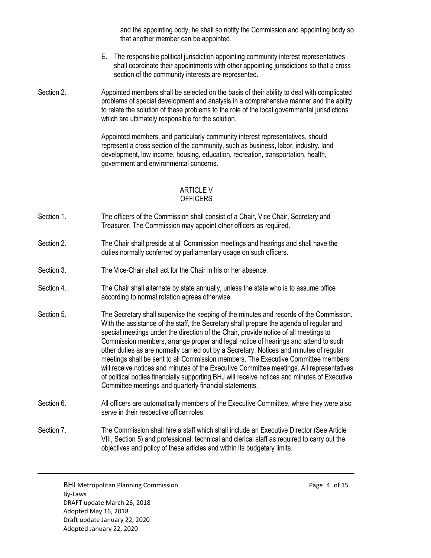and the appointing body, he shall so notify the Commission and appointing body so that another member can be appointed.

- E. The responsible political jurisdiction appointing community interest representatives shall coordinate their appointments with other appointing jurisdictions so that a cross section of the community interests are represented.
- Section 2. Appointed members shall be selected on the basis of their ability to deal with complicated problems of special development and analysis in a comprehensive manner and the ability to relate the solution of these problems to the role of the local governmental jurisdictions which are ultimately responsible for the solution.

Appointed members, and particularly community interest representatives, should represent a cross section of the community, such as business, labor, industry, land development, low income, housing, education, recreation, transportation, health, government and environmental concerns.

### ARTICLE V **OFFICERS**

- Section 1. The officers of the Commission shall consist of a Chair, Vice Chair, Secretary and Treasurer. The Commission may appoint other officers as required.
- Section 2. The Chair shall preside at all Commission meetings and hearings and shall have the duties normally conferred by parliamentary usage on such officers.
- Section 3. The Vice-Chair shall act for the Chair in his or her absence.
- Section 4. The Chair shall alternate by state annually, unless the state who is to assume office according to normal rotation agrees otherwise.
- Section 5. The Secretary shall supervise the keeping of the minutes and records of the Commission. With the assistance of the staff, the Secretary shall prepare the agenda of regular and special meetings under the direction of the Chair, provide notice of all meetings to Commission members, arrange proper and legal notice of hearings and attend to such other duties as are normally carried out by a Secretary. Notices and minutes of regular meetings shall be sent to all Commission members. The Executive Committee members will receive notices and minutes of the Executive Committee meetings. All representatives of political bodies financially supporting BHJ will receive notices and minutes of Executive Committee meetings and quarterly financial statements.
- Section 6. All officers are automatically members of the Executive Committee, where they were also serve in their respective officer roles.

Section 7. The Commission shall hire a staff which shall include an Executive Director (See Article VIII, Section 5) and professional, technical and clerical staff as required to carry out the objectives and policy of these articles and within its budgetary limits.

BHJ Metropolitan Planning Commission example that the example of 15 By-Laws DRAFT update March 26, 2018 Adopted May 16, 2018 Draft update January 22, 2020 Adopted January 22, 2020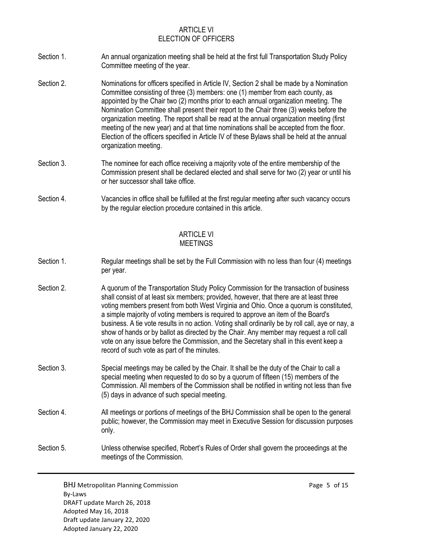# ARTICLE VI ELECTION OF OFFICERS

- Section 1. An annual organization meeting shall be held at the first full Transportation Study Policy Committee meeting of the year.
- Section 2. Nominations for officers specified in Article IV, Section 2 shall be made by a Nomination Committee consisting of three (3) members: one (1) member from each county, as appointed by the Chair two (2) months prior to each annual organization meeting. The Nomination Committee shall present their report to the Chair three (3) weeks before the organization meeting. The report shall be read at the annual organization meeting (first meeting of the new year) and at that time nominations shall be accepted from the floor. Election of the officers specified in Article IV of these Bylaws shall be held at the annual organization meeting.
- Section 3. The nominee for each office receiving a majority vote of the entire membership of the Commission present shall be declared elected and shall serve for two (2) year or until his or her successor shall take office.
- Section 4. Vacancies in office shall be fulfilled at the first regular meeting after such vacancy occurs by the regular election procedure contained in this article.

### ARTICLE VI MEETINGS

- Section 1. Regular meetings shall be set by the Full Commission with no less than four (4) meetings per year.
- Section 2. **A** quorum of the Transportation Study Policy Commission for the transaction of business shall consist of at least six members; provided, however, that there are at least three voting members present from both West Virginia and Ohio. Once a quorum is constituted, a simple majority of voting members is required to approve an item of the Board's business. A tie vote results in no action. Voting shall ordinarily be by roll call, aye or nay, a show of hands or by ballot as directed by the Chair. Any member may request a roll call vote on any issue before the Commission, and the Secretary shall in this event keep a record of such vote as part of the minutes.
- Section 3. Special meetings may be called by the Chair. It shall be the duty of the Chair to call a special meeting when requested to do so by a quorum of fifteen (15) members of the Commission. All members of the Commission shall be notified in writing not less than five (5) days in advance of such special meeting.
- Section 4. All meetings or portions of meetings of the BHJ Commission shall be open to the general public; however, the Commission may meet in Executive Session for discussion purposes only.
- Section 5. Unless otherwise specified, Robert's Rules of Order shall govern the proceedings at the meetings of the Commission.

BHJ Metropolitan Planning Commission example and the example of 15 and 15 and 15 and 15 and 15 and 15 and 15 and 16 and 16 and 16 and 16 and 16 and 16 and 16 and 16 and 16 and 16 and 16 and 16 and 16 and 16 and 16 and 16 a By-Laws DRAFT update March 26, 2018 Adopted May 16, 2018 Draft update January 22, 2020 Adopted January 22, 2020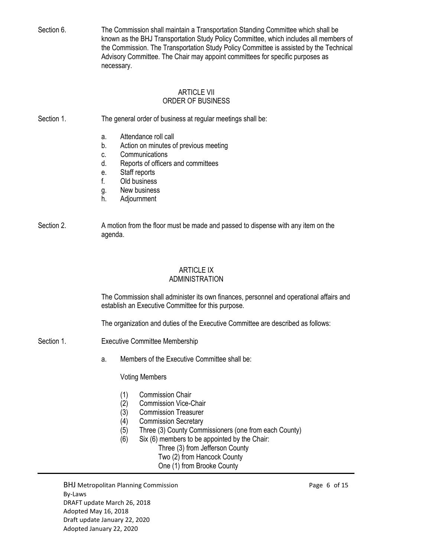Section 6. The Commission shall maintain a Transportation Standing Committee which shall be known as the BHJ Transportation Study Policy Committee, which includes all members of the Commission. The Transportation Study Policy Committee is assisted by the Technical Advisory Committee. The Chair may appoint committees for specific purposes as necessary.

### ARTICLE VII ORDER OF BUSINESS

Section 1. The general order of business at regular meetings shall be:

- a. Attendance roll call
- b. Action on minutes of previous meeting
- c. Communications
- d. Reports of officers and committees
- e. Staff reports
- f. Old business
- g. New business
- h. Adjournment
- Section 2. A motion from the floor must be made and passed to dispense with any item on the agenda.

# ARTICLE IX

## ADMINISTRATION

The Commission shall administer its own finances, personnel and operational affairs and establish an Executive Committee for this purpose.

The organization and duties of the Executive Committee are described as follows:

- Section 1. **Executive Committee Membership** 
	- a. Members of the Executive Committee shall be:

Voting Members

- (1) Commission Chair
- (2) Commission Vice-Chair
- (3) Commission Treasurer
- (4) Commission Secretary
- (5) Three (3) County Commissioners (one from each County)
- (6) Six (6) members to be appointed by the Chair:
	- Three (3) from Jefferson County Two (2) from Hancock County
	- One (1) from Brooke County

BHJ Metropolitan Planning Commission **Page 6 of 15** and Page 6 of 15 By-Laws DRAFT update March 26, 2018 Adopted May 16, 2018 Draft update January 22, 2020 Adopted January 22, 2020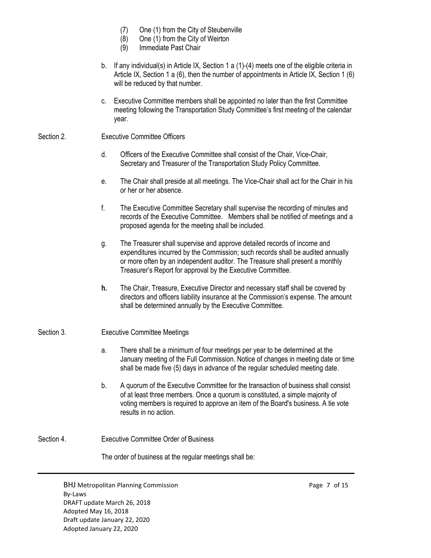- (7) One (1) from the City of Steubenville
- (8) One (1) from the City of Weirton
- (9) Immediate Past Chair
- b. If any individual(s) in Article IX, Section 1 a (1)-(4) meets one of the eligible criteria in Article IX, Section 1 a (6), then the number of appointments in Article IX, Section 1 (6) will be reduced by that number.
- c. Executive Committee members shall be appointed no later than the first Committee meeting following the Transportation Study Committee's first meeting of the calendar year.

# Section 2. **Executive Committee Officers**

- d. Officers of the Executive Committee shall consist of the Chair, Vice-Chair, Secretary and Treasurer of the Transportation Study Policy Committee.
- e. The Chair shall preside at all meetings. The Vice-Chair shall act for the Chair in his or her or her absence.
- f. The Executive Committee Secretary shall supervise the recording of minutes and records of the Executive Committee. Members shall be notified of meetings and a proposed agenda for the meeting shall be included.
- g. The Treasurer shall supervise and approve detailed records of income and expenditures incurred by the Commission; such records shall be audited annually or more often by an independent auditor. The Treasure shall present a monthly Treasurer's Report for approval by the Executive Committee.
- **h.** The Chair, Treasure, Executive Director and necessary staff shall be covered by directors and officers liability insurance at the Commission's expense. The amount shall be determined annually by the Executive Committee.

### Section 3. **Executive Committee Meetings**

- a. There shall be a minimum of four meetings per year to be determined at the January meeting of the Full Commission. Notice of changes in meeting date or time shall be made five (5) days in advance of the regular scheduled meeting date.
- b. A quorum of the Executive Committee for the transaction of business shall consist of at least three members. Once a quorum is constituted, a simple majority of voting members is required to approve an item of the Board's business. A tie vote results in no action.

# Section 4. Executive Committee Order of Business

The order of business at the regular meetings shall be:

BHJ Metropolitan Planning Commission example and the example of the Page 7 of 15 By-Laws DRAFT update March 26, 2018 Adopted May 16, 2018 Draft update January 22, 2020 Adopted January 22, 2020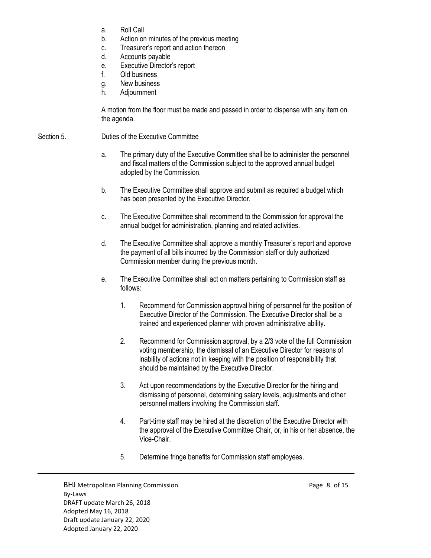- a. Roll Call
- b. Action on minutes of the previous meeting
- c. Treasurer's report and action thereon
- d. Accounts payable
- e. Executive Director's report
- f. Old business
- g. New business
- h. Adjournment

A motion from the floor must be made and passed in order to dispense with any item on the agenda.

## Section 5. Duties of the Executive Committee

- a. The primary duty of the Executive Committee shall be to administer the personnel and fiscal matters of the Commission subject to the approved annual budget adopted by the Commission.
- b. The Executive Committee shall approve and submit as required a budget which has been presented by the Executive Director.
- c. The Executive Committee shall recommend to the Commission for approval the annual budget for administration, planning and related activities.
- d. The Executive Committee shall approve a monthly Treasurer's report and approve the payment of all bills incurred by the Commission staff or duly authorized Commission member during the previous month.
- e. The Executive Committee shall act on matters pertaining to Commission staff as follows:
	- 1. Recommend for Commission approval hiring of personnel for the position of Executive Director of the Commission. The Executive Director shall be a trained and experienced planner with proven administrative ability.
	- 2. Recommend for Commission approval, by a 2/3 vote of the full Commission voting membership, the dismissal of an Executive Director for reasons of inability of actions not in keeping with the position of responsibility that should be maintained by the Executive Director.
	- 3. Act upon recommendations by the Executive Director for the hiring and dismissing of personnel, determining salary levels, adjustments and other personnel matters involving the Commission staff.
	- 4. Part-time staff may be hired at the discretion of the Executive Director with the approval of the Executive Committee Chair, or, in his or her absence, the Vice-Chair.
	- 5. Determine fringe benefits for Commission staff employees.

BHJ Metropolitan Planning Commission example and the example of the Page 8 of 15 By-Laws DRAFT update March 26, 2018 Adopted May 16, 2018 Draft update January 22, 2020 Adopted January 22, 2020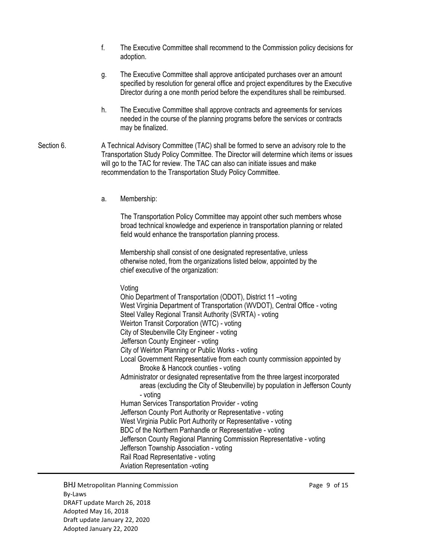- f. The Executive Committee shall recommend to the Commission policy decisions for adoption.
- g. The Executive Committee shall approve anticipated purchases over an amount specified by resolution for general office and project expenditures by the Executive Director during a one month period before the expenditures shall be reimbursed.
- h. The Executive Committee shall approve contracts and agreements for services needed in the course of the planning programs before the services or contracts may be finalized.
- Section 6. **A** Technical Advisory Committee (TAC) shall be formed to serve an advisory role to the Transportation Study Policy Committee. The Director will determine which items or issues will go to the TAC for review. The TAC can also can initiate issues and make recommendation to the Transportation Study Policy Committee.
	- a. Membership:

The Transportation Policy Committee may appoint other such members whose broad technical knowledge and experience in transportation planning or related field would enhance the transportation planning process.

Membership shall consist of one designated representative, unless otherwise noted, from the organizations listed below, appointed by the chief executive of the organization:

Voting

Ohio Department of Transportation (ODOT), District 11 –voting West Virginia Department of Transportation (WVDOT), Central Office - voting Steel Valley Regional Transit Authority (SVRTA) - voting Weirton Transit Corporation (WTC) - voting City of Steubenville City Engineer - voting Jefferson County Engineer - voting City of Weirton Planning or Public Works - voting Local Government Representative from each county commission appointed by Brooke & Hancock counties - voting Administrator or designated representative from the three largest incorporated areas (excluding the City of Steubenville) by population in Jefferson County - voting Human Services Transportation Provider - voting Jefferson County Port Authority or Representative - voting West Virginia Public Port Authority or Representative - voting BDC of the Northern Panhandle or Representative - voting Jefferson County Regional Planning Commission Representative - voting Jefferson Township Association - voting Rail Road Representative - voting Aviation Representation -voting

BHJ Metropolitan Planning Commission example that the example of 15 By-Laws DRAFT update March 26, 2018 Adopted May 16, 2018 Draft update January 22, 2020 Adopted January 22, 2020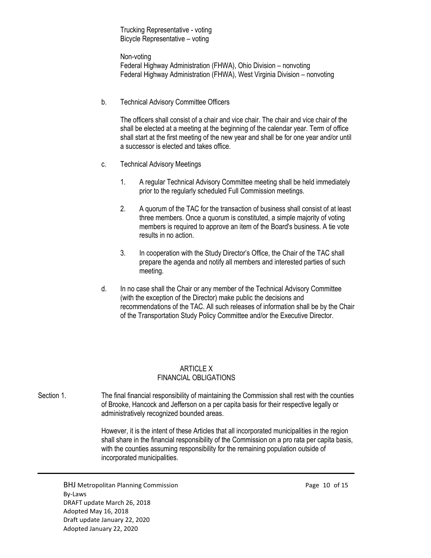Trucking Representative - voting Bicycle Representative – voting

Non-voting Federal Highway Administration (FHWA), Ohio Division – nonvoting Federal Highway Administration (FHWA), West Virginia Division – nonvoting

b. Technical Advisory Committee Officers

The officers shall consist of a chair and vice chair. The chair and vice chair of the shall be elected at a meeting at the beginning of the calendar year. Term of office shall start at the first meeting of the new year and shall be for one year and/or until a successor is elected and takes office.

- c. Technical Advisory Meetings
	- 1. A regular Technical Advisory Committee meeting shall be held immediately prior to the regularly scheduled Full Commission meetings.
	- 2. A quorum of the TAC for the transaction of business shall consist of at least three members. Once a quorum is constituted, a simple majority of voting members is required to approve an item of the Board's business. A tie vote results in no action.
	- 3. In cooperation with the Study Director's Office, the Chair of the TAC shall prepare the agenda and notify all members and interested parties of such meeting.
- d. In no case shall the Chair or any member of the Technical Advisory Committee (with the exception of the Director) make public the decisions and recommendations of the TAC. All such releases of information shall be by the Chair of the Transportation Study Policy Committee and/or the Executive Director.

# ARTICLE X FINANCIAL OBLIGATIONS

Section 1. The final financial responsibility of maintaining the Commission shall rest with the counties of Brooke, Hancock and Jefferson on a per capita basis for their respective legally or administratively recognized bounded areas.

> However, it is the intent of these Articles that all incorporated municipalities in the region shall share in the financial responsibility of the Commission on a pro rata per capita basis, with the counties assuming responsibility for the remaining population outside of incorporated municipalities.

BHJ Metropolitan Planning Commission **Page 10 of 15** and Page 10 of 15 By-Laws DRAFT update March 26, 2018 Adopted May 16, 2018 Draft update January 22, 2020 Adopted January 22, 2020